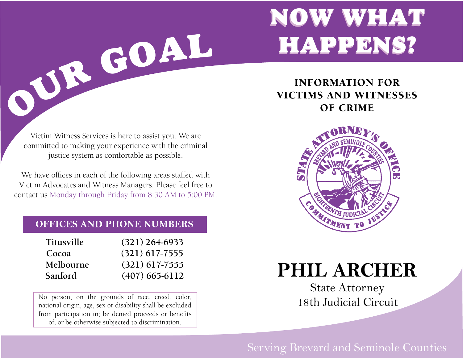# NOW WHAT NOW WHAT HAPPENS? HAPPENS?

Victim Witness Services is here to assist you. We are committed to making your experience with the criminal justice system as comfortable as possible.

OUR GOAL

We have offices in each of the following areas staffed with Victim Advocates and Witness Managers. Please feel free to contact us Monday through Friday from 8:30 AM to 5:00 PM.

## **OFFICES AND PHONE NUMBERS**

| <b>Titusville</b> | $(321)$ 264-6933 |
|-------------------|------------------|
| Cocoa             | $(321)$ 617-7555 |
| Melbourne         | $(321)$ 617-7555 |
| Sanford           | $(407)$ 665-6112 |

No person, on the grounds of race, creed, color, national origin, age, sex or disability shall be excluded from participation in; be denied proceeds or benefits of; or be otherwise subjected to discrimination.

INFORMATION FOR VICTIMS AND WITNESSES OF CRIME



**PHIL ARCHER**

State Attorney 18th Judicial Circuit

# Serving Brevard and Seminole Counties